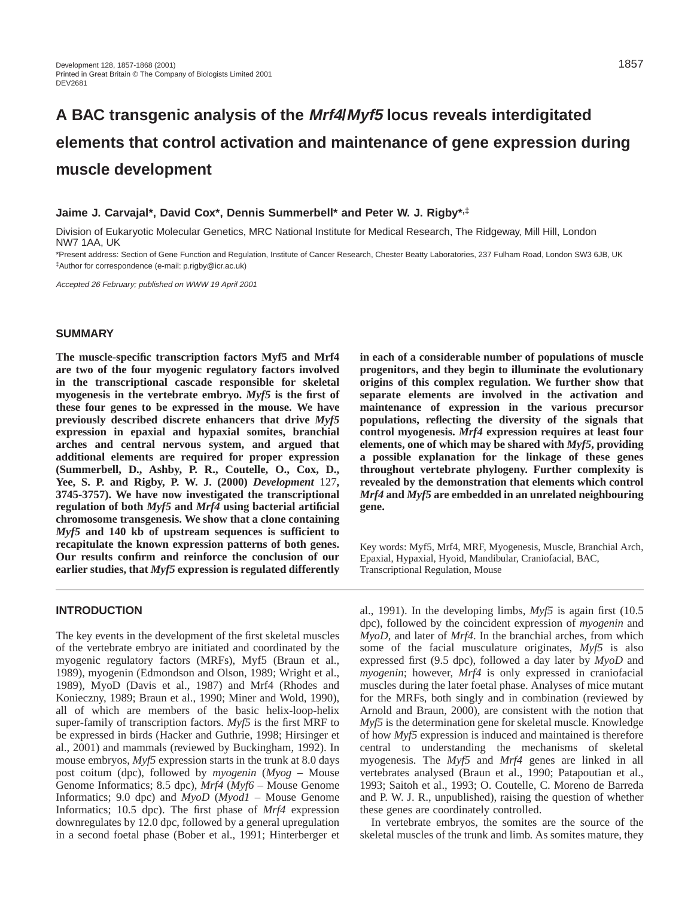# **A BAC transgenic analysis of the Mrf4/Myf5 locus reveals interdigitated elements that control activation and maintenance of gene expression during muscle development**

# **Jaime J. Carvajal\*, David Cox\*, Dennis Summerbell\* and Peter W. J. Rigby\*,‡**

Division of Eukaryotic Molecular Genetics, MRC National Institute for Medical Research, The Ridgeway, Mill Hill, London NW7 1AA, UK

\*Present address: Section of Gene Function and Regulation, Institute of Cancer Research, Chester Beatty Laboratories, 237 Fulham Road, London SW3 6JB, UK ‡Author for correspondence (e-mail: p.rigby@icr.ac.uk)

Accepted 26 February; published on WWW 19 April 2001

#### **SUMMARY**

**The muscle-specific transcription factors Myf5 and Mrf4 are two of the four myogenic regulatory factors involved in the transcriptional cascade responsible for skeletal myogenesis in the vertebrate embryo.** *Myf5* **is the first of these four genes to be expressed in the mouse. We have previously described discrete enhancers that drive** *Myf5* **expression in epaxial and hypaxial somites, branchial arches and central nervous system, and argued that additional elements are required for proper expression (Summerbell, D., Ashby, P. R., Coutelle, O., Cox, D., Yee, S. P. and Rigby, P. W. J. (2000)** *Development* 127**, 3745-3757). We have now investigated the transcriptional regulation of both** *Myf5* **and** *Mrf4* **using bacterial artificial chromosome transgenesis. We show that a clone containing** *Myf5* **and 140 kb of upstream sequences is sufficient to recapitulate the known expression patterns of both genes. Our results confirm and reinforce the conclusion of our earlier studies, that** *Myf5* **expression is regulated differently**

# **INTRODUCTION**

The key events in the development of the first skeletal muscles of the vertebrate embryo are initiated and coordinated by the myogenic regulatory factors (MRFs), Myf5 (Braun et al., 1989), myogenin (Edmondson and Olson, 1989; Wright et al., 1989), MyoD (Davis et al., 1987) and Mrf4 (Rhodes and Konieczny, 1989; Braun et al., 1990; Miner and Wold, 1990), all of which are members of the basic helix-loop-helix super-family of transcription factors. *Myf5* is the first MRF to be expressed in birds (Hacker and Guthrie, 1998; Hirsinger et al., 2001) and mammals (reviewed by Buckingham, 1992). In mouse embryos, *Myf5* expression starts in the trunk at 8.0 days post coitum (dpc), followed by *myogenin* (*Myog* – Mouse Genome Informatics; 8.5 dpc), *Mrf4* (*Myf6* – Mouse Genome Informatics; 9.0 dpc) and *MyoD* (*Myod1* – Mouse Genome Informatics; 10.5 dpc). The first phase of *Mrf4* expression downregulates by 12.0 dpc, followed by a general upregulation in a second foetal phase (Bober et al., 1991; Hinterberger et

**in each of a considerable number of populations of muscle progenitors, and they begin to illuminate the evolutionary origins of this complex regulation. We further show that separate elements are involved in the activation and maintenance of expression in the various precursor populations, reflecting the diversity of the signals that control myogenesis.** *Mrf4* **expression requires at least four elements, one of which may be shared with** *Myf5***, providing a possible explanation for the linkage of these genes throughout vertebrate phylogeny. Further complexity is revealed by the demonstration that elements which control** *Mrf4* **and** *Myf5* **are embedded in an unrelated neighbouring gene.**

Key words: Myf5, Mrf4, MRF, Myogenesis, Muscle, Branchial Arch, Epaxial, Hypaxial, Hyoid, Mandibular, Craniofacial, BAC, Transcriptional Regulation, Mouse

al., 1991). In the developing limbs, *Myf5* is again first (10.5 dpc), followed by the coincident expression of *myogenin* and *MyoD*, and later of *Mrf4*. In the branchial arches, from which some of the facial musculature originates, *Myf5* is also expressed first (9.5 dpc), followed a day later by *MyoD* and *myogenin*; however, *Mrf4* is only expressed in craniofacial muscles during the later foetal phase. Analyses of mice mutant for the MRFs, both singly and in combination (reviewed by Arnold and Braun, 2000), are consistent with the notion that *Myf5* is the determination gene for skeletal muscle. Knowledge of how *Myf5* expression is induced and maintained is therefore central to understanding the mechanisms of skeletal myogenesis. The *Myf5* and *Mrf4* genes are linked in all vertebrates analysed (Braun et al., 1990; Patapoutian et al., 1993; Saitoh et al., 1993; O. Coutelle, C. Moreno de Barreda and P. W. J. R., unpublished), raising the question of whether these genes are coordinately controlled.

In vertebrate embryos, the somites are the source of the skeletal muscles of the trunk and limb. As somites mature, they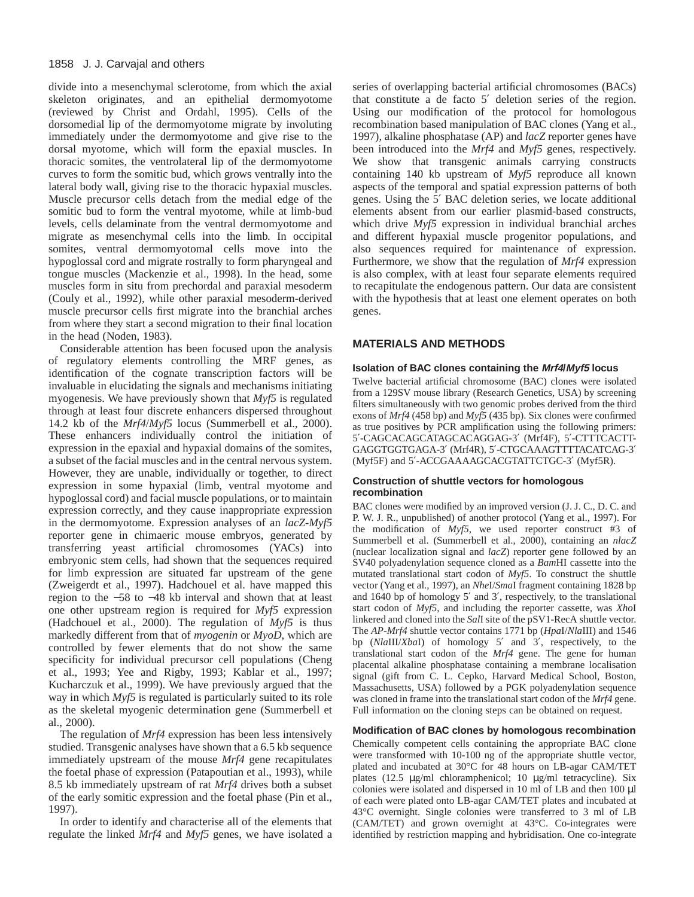divide into a mesenchymal sclerotome, from which the axial skeleton originates, and an epithelial dermomyotome (reviewed by Christ and Ordahl, 1995). Cells of the dorsomedial lip of the dermomyotome migrate by involuting immediately under the dermomyotome and give rise to the dorsal myotome, which will form the epaxial muscles. In thoracic somites, the ventrolateral lip of the dermomyotome curves to form the somitic bud, which grows ventrally into the lateral body wall, giving rise to the thoracic hypaxial muscles. Muscle precursor cells detach from the medial edge of the somitic bud to form the ventral myotome, while at limb-bud levels, cells delaminate from the ventral dermomyotome and migrate as mesenchymal cells into the limb. In occipital somites, ventral dermomyotomal cells move into the hypoglossal cord and migrate rostrally to form pharyngeal and tongue muscles (Mackenzie et al., 1998). In the head, some muscles form in situ from prechordal and paraxial mesoderm (Couly et al., 1992), while other paraxial mesoderm-derived muscle precursor cells first migrate into the branchial arches from where they start a second migration to their final location in the head (Noden, 1983).

Considerable attention has been focused upon the analysis of regulatory elements controlling the MRF genes, as identification of the cognate transcription factors will be invaluable in elucidating the signals and mechanisms initiating myogenesis. We have previously shown that *Myf5* is regulated through at least four discrete enhancers dispersed throughout 14.2 kb of the *Mrf4*/*Myf5* locus (Summerbell et al., 2000). These enhancers individually control the initiation of expression in the epaxial and hypaxial domains of the somites, a subset of the facial muscles and in the central nervous system. However, they are unable, individually or together, to direct expression in some hypaxial (limb, ventral myotome and hypoglossal cord) and facial muscle populations, or to maintain expression correctly, and they cause inappropriate expression in the dermomyotome. Expression analyses of an *lacZ-Myf5* reporter gene in chimaeric mouse embryos, generated by transferring yeast artificial chromosomes (YACs) into embryonic stem cells, had shown that the sequences required for limb expression are situated far upstream of the gene (Zweigerdt et al., 1997). Hadchouel et al. have mapped this region to the −58 to −48 kb interval and shown that at least one other upstream region is required for *Myf5* expression (Hadchouel et al., 2000). The regulation of *Myf5* is thus markedly different from that of *myogenin* or *MyoD*, which are controlled by fewer elements that do not show the same specificity for individual precursor cell populations (Cheng et al., 1993; Yee and Rigby, 1993; Kablar et al., 1997; Kucharczuk et al., 1999). We have previously argued that the way in which *Myf5* is regulated is particularly suited to its role as the skeletal myogenic determination gene (Summerbell et al., 2000).

The regulation of *Mrf4* expression has been less intensively studied. Transgenic analyses have shown that a 6.5 kb sequence immediately upstream of the mouse *Mrf4* gene recapitulates the foetal phase of expression (Patapoutian et al., 1993), while 8.5 kb immediately upstream of rat *Mrf4* drives both a subset of the early somitic expression and the foetal phase (Pin et al., 1997).

In order to identify and characterise all of the elements that regulate the linked *Mrf4* and *Myf5* genes, we have isolated a

series of overlapping bacterial artificial chromosomes (BACs) that constitute a de facto 5′ deletion series of the region. Using our modification of the protocol for homologous recombination based manipulation of BAC clones (Yang et al., 1997), alkaline phosphatase (AP) and *lacZ* reporter genes have been introduced into the *Mrf4* and *Myf5* genes, respectively. We show that transgenic animals carrying constructs containing 140 kb upstream of *Myf5* reproduce all known aspects of the temporal and spatial expression patterns of both genes. Using the 5′ BAC deletion series, we locate additional elements absent from our earlier plasmid-based constructs, which drive *Myf5* expression in individual branchial arches and different hypaxial muscle progenitor populations, and also sequences required for maintenance of expression. Furthermore, we show that the regulation of *Mrf4* expression is also complex, with at least four separate elements required to recapitulate the endogenous pattern. Our data are consistent with the hypothesis that at least one element operates on both genes.

# **MATERIALS AND METHODS**

#### **Isolation of BAC clones containing the Mrf4/Myf5 locus**

Twelve bacterial artificial chromosome (BAC) clones were isolated from a 129SV mouse library (Research Genetics, USA) by screening filters simultaneously with two genomic probes derived from the third exons of *Mrf4* (458 bp) and *Myf5* (435 bp). Six clones were confirmed as true positives by PCR amplification using the following primers: 5′-CAGCACAGCATAGCACAGGAG-3′ (Mrf4F), 5′-CTTTCACTT-GAGGTGGTGAGA-3′ (Mrf4R), 5′-CTGCAAAGTTTTACATCAG-3′ (Myf5F) and 5′-ACCGAAAAGCACGTATTCTGC-3′ (Myf5R).

#### **Construction of shuttle vectors for homologous recombination**

BAC clones were modified by an improved version (J. J. C., D. C. and P. W. J. R., unpublished) of another protocol (Yang et al., 1997). For the modification of *Myf5*, we used reporter construct #3 of Summerbell et al. (Summerbell et al., 2000), containing an *nlacZ* (nuclear localization signal and *lacZ*) reporter gene followed by an SV40 polyadenylation sequence cloned as a *Bam*HI cassette into the mutated translational start codon of *Myf5*. To construct the shuttle vector (Yang et al., 1997), an *Nhe*I/*Sma*I fragment containing 1828 bp and 1640 bp of homology 5′ and 3′, respectively, to the translational start codon of *Myf5*, and including the reporter cassette, was *Xho*I linkered and cloned into the *Sal*I site of the pSV1-RecA shuttle vector. The *AP-Mrf4* shuttle vector contains 1771 bp (*Hpa*I/*Nla*III) and 1546 bp (*Nla*III/*Xba*I) of homology 5′ and 3′, respectively, to the translational start codon of the *Mrf4* gene. The gene for human placental alkaline phosphatase containing a membrane localisation signal (gift from C. L. Cepko, Harvard Medical School, Boston, Massachusetts, USA) followed by a PGK polyadenylation sequence was cloned in frame into the translational start codon of the *Mrf4* gene. Full information on the cloning steps can be obtained on request.

#### **Modification of BAC clones by homologous recombination**

Chemically competent cells containing the appropriate BAC clone were transformed with 10-100 ng of the appropriate shuttle vector, plated and incubated at 30°C for 48 hours on LB-agar CAM/TET plates (12.5 µg/ml chloramphenicol; 10 µg/ml tetracycline). Six colonies were isolated and dispersed in 10 ml of LB and then 100 µl of each were plated onto LB-agar CAM/TET plates and incubated at 43°C overnight. Single colonies were transferred to 3 ml of LB (CAM/TET) and grown overnight at 43°C. Co-integrates were identified by restriction mapping and hybridisation. One co-integrate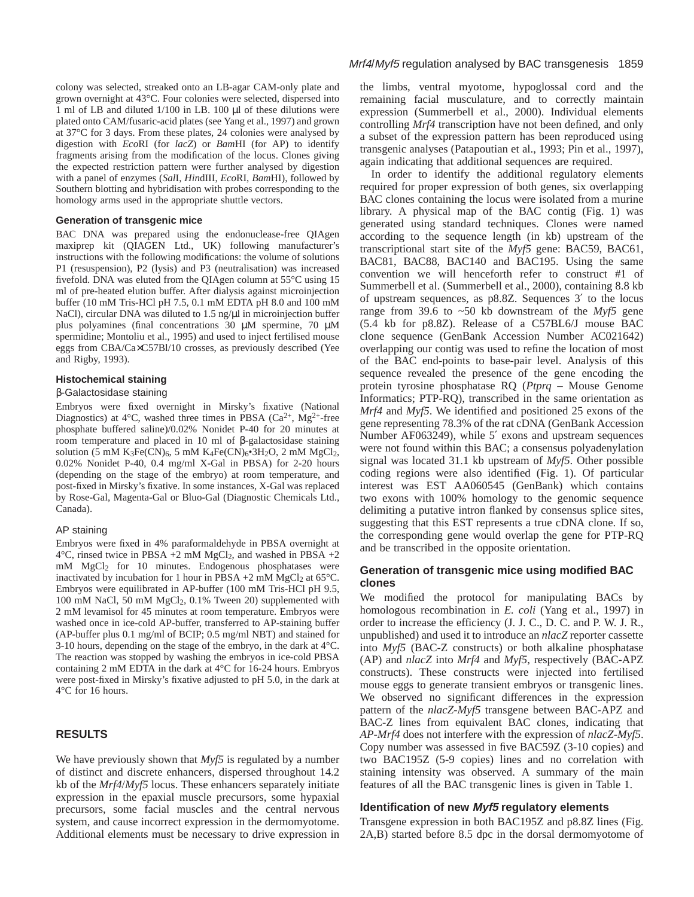colony was selected, streaked onto an LB-agar CAM-only plate and grown overnight at 43°C. Four colonies were selected, dispersed into 1 ml of LB and diluted 1/100 in LB. 100 µl of these dilutions were plated onto CAM/fusaric-acid plates (see Yang et al., 1997) and grown at 37°C for 3 days. From these plates, 24 colonies were analysed by digestion with *Eco*RI (for *lacZ*) or *Bam*HI (for AP) to identify fragments arising from the modification of the locus. Clones giving the expected restriction pattern were further analysed by digestion with a panel of enzymes (*Sal*I, *Hin*dIII, *Eco*RI, *Bam*HI), followed by Southern blotting and hybridisation with probes corresponding to the homology arms used in the appropriate shuttle vectors.

#### **Generation of transgenic mice**

BAC DNA was prepared using the endonuclease-free QIAgen maxiprep kit (QIAGEN Ltd., UK) following manufacturer's instructions with the following modifications: the volume of solutions P1 (resuspension), P2 (lysis) and P3 (neutralisation) was increased fivefold. DNA was eluted from the QIAgen column at 55°C using 15 ml of pre-heated elution buffer. After dialysis against microinjection buffer (10 mM Tris-HCl pH 7.5, 0.1 mM EDTA pH 8.0 and 100 mM NaCl), circular DNA was diluted to 1.5 ng/ $\mu$ l in microinjection buffer plus polyamines (final concentrations 30 µM spermine, 70 µM spermidine; Montoliu et al., 1995) and used to inject fertilised mouse eggs from CBA/Ca×C57Bl/10 crosses, as previously described (Yee and Rigby, 1993).

# **Histochemical staining**

#### β-Galactosidase staining

Embryos were fixed overnight in Mirsky's fixative (National Diagnostics) at 4°C, washed three times in PBSA ( $Ca^{2+}$ , Mg<sup>2+</sup>-free phosphate buffered saline)/0.02% Nonidet P-40 for 20 minutes at room temperature and placed in 10 ml of β-galactosidase staining solution (5 mM K<sub>3</sub>Fe(CN)<sub>6</sub>, 5 mM K<sub>4</sub>Fe(CN)<sub>6</sub>•3H<sub>2</sub>O, 2 mM MgCl<sub>2</sub>, 0.02% Nonidet P-40, 0.4 mg/ml X-Gal in PBSA) for 2-20 hours (depending on the stage of the embryo) at room temperature, and post-fixed in Mirsky's fixative. In some instances, X-Gal was replaced by Rose-Gal, Magenta-Gal or Bluo-Gal (Diagnostic Chemicals Ltd., Canada).

#### AP staining

Embryos were fixed in 4% paraformaldehyde in PBSA overnight at  $4^{\circ}$ C, rinsed twice in PBSA +2 mM MgCl<sub>2</sub>, and washed in PBSA +2 mM MgCl2 for 10 minutes. Endogenous phosphatases were inactivated by incubation for 1 hour in PBSA  $+2$  mM MgCl<sub>2</sub> at 65°C. Embryos were equilibrated in AP-buffer (100 mM Tris-HCl pH 9.5, 100 mM NaCl, 50 mM MgCl2, 0.1% Tween 20) supplemented with 2 mM levamisol for 45 minutes at room temperature. Embryos were washed once in ice-cold AP-buffer, transferred to AP-staining buffer (AP-buffer plus 0.1 mg/ml of BCIP; 0.5 mg/ml NBT) and stained for 3-10 hours, depending on the stage of the embryo, in the dark at 4°C. The reaction was stopped by washing the embryos in ice-cold PBSA containing 2 mM EDTA in the dark at 4°C for 16-24 hours. Embryos were post-fixed in Mirsky's fixative adjusted to pH 5.0, in the dark at 4°C for 16 hours.

# **RESULTS**

We have previously shown that *Myf5* is regulated by a number of distinct and discrete enhancers, dispersed throughout 14.2 kb of the *Mrf4*/*Myf5* locus. These enhancers separately initiate expression in the epaxial muscle precursors, some hypaxial precursors, some facial muscles and the central nervous system, and cause incorrect expression in the dermomyotome. Additional elements must be necessary to drive expression in

the limbs, ventral myotome, hypoglossal cord and the remaining facial musculature, and to correctly maintain expression (Summerbell et al., 2000). Individual elements controlling *Mrf4* transcription have not been defined, and only a subset of the expression pattern has been reproduced using transgenic analyses (Patapoutian et al., 1993; Pin et al., 1997), again indicating that additional sequences are required.

In order to identify the additional regulatory elements required for proper expression of both genes, six overlapping BAC clones containing the locus were isolated from a murine library. A physical map of the BAC contig (Fig. 1) was generated using standard techniques. Clones were named according to the sequence length (in kb) upstream of the transcriptional start site of the *Myf5* gene: BAC59, BAC61, BAC81, BAC88, BAC140 and BAC195. Using the same convention we will henceforth refer to construct #1 of Summerbell et al. (Summerbell et al., 2000), containing 8.8 kb of upstream sequences, as p8.8Z. Sequences 3′ to the locus range from 39.6 to ~50 kb downstream of the *Myf5* gene (5.4 kb for p8.8Z). Release of a C57BL6/J mouse BAC clone sequence (GenBank Accession Number AC021642) overlapping our contig was used to refine the location of most of the BAC end-points to base-pair level. Analysis of this sequence revealed the presence of the gene encoding the protein tyrosine phosphatase RQ (*Ptprq* – Mouse Genome Informatics; PTP-RQ), transcribed in the same orientation as *Mrf4* and *Myf5*. We identified and positioned 25 exons of the gene representing 78.3% of the rat cDNA (GenBank Accession Number AF063249), while 5′ exons and upstream sequences were not found within this BAC; a consensus polyadenylation signal was located 31.1 kb upstream of *Myf5*. Other possible coding regions were also identified (Fig. 1). Of particular interest was EST AA060545 (GenBank) which contains two exons with 100% homology to the genomic sequence delimiting a putative intron flanked by consensus splice sites, suggesting that this EST represents a true cDNA clone. If so, the corresponding gene would overlap the gene for PTP-RQ and be transcribed in the opposite orientation.

# **Generation of transgenic mice using modified BAC clones**

We modified the protocol for manipulating BACs by homologous recombination in *E. coli* (Yang et al., 1997) in order to increase the efficiency (J. J. C., D. C. and P. W. J. R., unpublished) and used it to introduce an *nlacZ* reporter cassette into *Myf5* (BAC-Z constructs) or both alkaline phosphatase (AP) and *nlacZ* into *Mrf4* and *Myf5*, respectively (BAC-APZ constructs). These constructs were injected into fertilised mouse eggs to generate transient embryos or transgenic lines. We observed no significant differences in the expression pattern of the *nlacZ-Myf5* transgene between BAC-APZ and BAC-Z lines from equivalent BAC clones, indicating that *AP-Mrf4* does not interfere with the expression of *nlacZ-Myf5*. Copy number was assessed in five BAC59Z (3-10 copies) and two BAC195Z (5-9 copies) lines and no correlation with staining intensity was observed. A summary of the main features of all the BAC transgenic lines is given in Table 1.

#### **Identification of new Myf5 regulatory elements**

Transgene expression in both BAC195Z and p8.8Z lines (Fig. 2A,B) started before 8.5 dpc in the dorsal dermomyotome of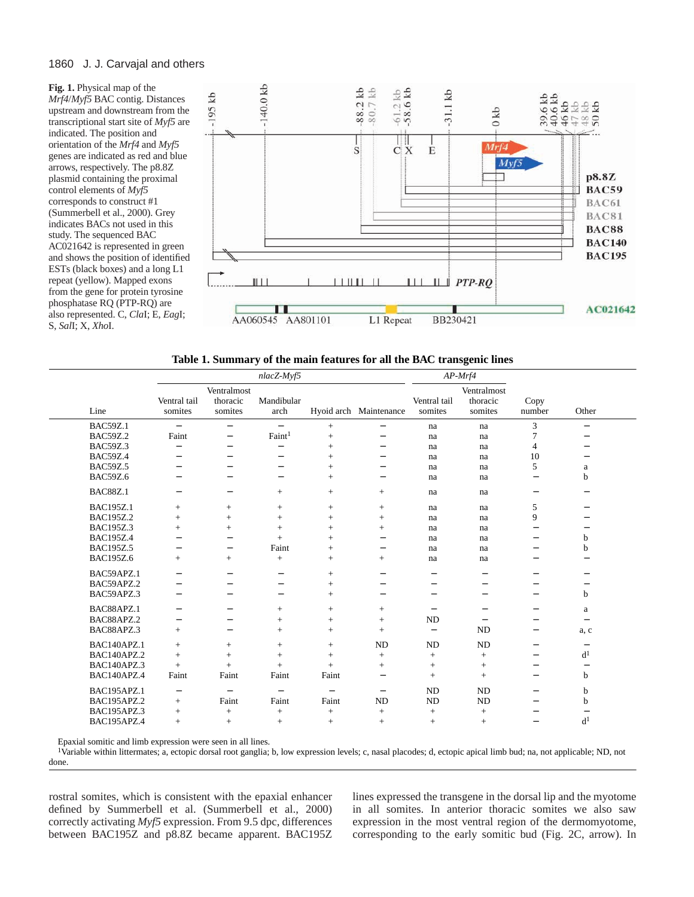#### 1860 J. J. Carvajal and others

**Fig. 1.** Physical map of the *Mrf4*/*Myf5* BAC contig. Distances upstream and downstream from the transcriptional start site of *Myf5* are indicated. The position and orientation of the *Mrf4* and *Myf5* genes are indicated as red and blue arrows, respectively. The p8.8Z plasmid containing the proximal control elements of *Myf5* corresponds to construct #1 (Summerbell et al., 2000). Grey indicates BACs not used in this study. The sequenced BAC AC021642 is represented in green and shows the position of identified ESTs (black boxes) and a long L1 repeat (yellow). Mapped exons from the gene for protein tyrosine phosphatase RQ (PTP-RQ) are also represented. C, *Cla*I; E, *Eag*I; S, *Sal*I; X, *Xho*I.



|  | Table 1. Summary of the main features for all the BAC transgenic lines |  |  |
|--|------------------------------------------------------------------------|--|--|
|  |                                                                        |  |  |

|                  | nlacZ-Myf5               |                                    |                          |                          |                          | $AP$ - $Mrf4$            |                                    |                          |                          |
|------------------|--------------------------|------------------------------------|--------------------------|--------------------------|--------------------------|--------------------------|------------------------------------|--------------------------|--------------------------|
| Line             | Ventral tail<br>somites  | Ventralmost<br>thoracic<br>somites | Mandibular<br>arch       |                          | Hyoid arch Maintenance   | Ventral tail<br>somites  | Ventralmost<br>thoracic<br>somites | Copy<br>number           | Other                    |
| <b>BAC59Z.1</b>  | $\qquad \qquad -$        | -                                  | $\qquad \qquad -$        | $+$                      | -                        | na                       | na                                 | 3                        | $\overline{\phantom{0}}$ |
| <b>BAC59Z.2</b>  | Faint                    | $\overline{\phantom{0}}$           | Faint <sup>1</sup>       | $^{+}$                   |                          | na                       | na                                 | 7                        |                          |
| <b>BAC59Z.3</b>  | $\overline{\phantom{0}}$ | $\overline{\phantom{0}}$           | $\overline{\phantom{0}}$ | $+$                      | $\overline{\phantom{0}}$ | na                       | na                                 | 4                        |                          |
| <b>BAC59Z.4</b>  | $\overline{\phantom{0}}$ | $\overline{\phantom{0}}$           | -                        | $^{+}$                   | -                        | na                       | na                                 | 10                       |                          |
| <b>BAC59Z.5</b>  |                          | $\overline{\phantom{0}}$           | —                        | $+$                      | -                        | na                       | na                                 | 5                        | a                        |
| <b>BAC59Z.6</b>  |                          | $\overline{\phantom{0}}$           | -                        | $^{+}$                   | -                        | na                       | na                                 | —                        | b                        |
| <b>BAC88Z.1</b>  | $\overline{\phantom{0}}$ | $\qquad \qquad -$                  | $+$                      | $+$                      | $^{+}$                   | na                       | na                                 | —                        |                          |
| <b>BAC195Z.1</b> | $+$                      | $+$                                | $+$                      | $^{+}$                   | $+$                      | na                       | na                                 | 5                        | —                        |
| BAC195Z.2        | $^{+}$                   | $+$                                | $+$                      | $^{+}$                   | $^{+}$                   | na                       | na                                 | 9                        |                          |
| <b>BAC195Z.3</b> | $+$                      | $+$                                | $+$                      | $+$                      | $+$                      | na                       | na                                 | —                        |                          |
| <b>BAC195Z.4</b> | -                        | $\overline{\phantom{0}}$           | $+$                      | $+$                      | $\overline{\phantom{0}}$ | na                       | na                                 | -                        | b                        |
| <b>BAC195Z.5</b> |                          | $\overline{\phantom{0}}$           | Faint                    | $+$                      | -                        | na                       | na                                 |                          | b                        |
| <b>BAC195Z.6</b> | $+$                      | $+$                                | $+$                      | $^{+}$                   | $+$                      | na                       | na                                 | -                        | -                        |
| BAC59APZ.1       |                          | $\overline{\phantom{0}}$           | $\overline{\phantom{0}}$ | $^{+}$                   | $\overline{\phantom{0}}$ | -                        | $\overline{\phantom{0}}$           | $\overline{\phantom{0}}$ | -                        |
| BAC59APZ.2       |                          | $\qquad \qquad -$                  | —                        | $^{+}$                   | -                        | —                        | -                                  | —                        |                          |
| BAC59APZ.3       | $\overline{\phantom{0}}$ | $\overline{\phantom{0}}$           | $\qquad \qquad -$        | $+$                      | $\overline{\phantom{0}}$ | $\overline{\phantom{0}}$ | $\overline{\phantom{0}}$           | $\overline{\phantom{0}}$ | b                        |
| BAC88APZ.1       |                          | $\qquad \qquad -$                  | $+$                      | $+$                      | $^{+}$                   | $\overline{\phantom{0}}$ | $\overline{\phantom{0}}$           | -                        | a                        |
| BAC88APZ.2       | $\overline{\phantom{0}}$ | $\overline{\phantom{0}}$           | $^{+}$                   | $^{+}$                   | $^{+}$                   | <b>ND</b>                | $\overline{\phantom{0}}$           | —                        | $\overline{\phantom{0}}$ |
| BAC88APZ.3       | $^{+}$                   | $\overline{\phantom{0}}$           | $+$                      | $^{+}$                   | $^{+}$                   | $\qquad \qquad -$        | <b>ND</b>                          | —                        | a, c                     |
| BAC140APZ.1      | $^{+}$                   | $+$                                | $+$                      | $+$                      | <b>ND</b>                | <b>ND</b>                | <b>ND</b>                          | —                        | $\qquad \qquad -$        |
| BAC140APZ.2      | $+$                      | $+$                                | $+$                      | $+$                      | $+$                      | $+$                      | $^{+}$                             | —                        | d <sup>1</sup>           |
| BAC140APZ.3      | $+$                      | $+$                                | $+$                      | $+$                      | $+$                      | $+$                      | $+$                                | $\overline{\phantom{0}}$ | $\qquad \qquad -$        |
| BAC140APZ.4      | Faint                    | Faint                              | Faint                    | Faint                    | $\overline{\phantom{0}}$ | $+$                      | $+$                                | $\qquad \qquad -$        | b                        |
| BAC195APZ.1      | $\overline{\phantom{m}}$ | $\overline{\phantom{0}}$           | $\overline{\phantom{0}}$ | $\overline{\phantom{0}}$ | $\overline{\phantom{0}}$ | <b>ND</b>                | <b>ND</b>                          | $\qquad \qquad -$        | b                        |
| BAC195APZ.2      | $^{+}$                   | Faint                              | Faint                    | Faint                    | <b>ND</b>                | ND                       | <b>ND</b>                          | —                        | b                        |
| BAC195APZ.3      | $^{+}$                   | $^{+}$                             | $+$                      | $+$                      | $+$                      | $+$                      | $^{+}$                             | $\overline{\phantom{0}}$ | $\overline{\phantom{0}}$ |
| BAC195APZ.4      | $+$                      | $+$                                | $+$                      | $+$                      | $+$                      | $+$                      | $\ddot{}$                          |                          | d <sup>1</sup>           |

Epaxial somitic and limb expression were seen in all lines.

<sup>1</sup>Variable within littermates; a, ectopic dorsal root ganglia; b, low expression levels; c, nasal placodes; d, ectopic apical limb bud; na, not applicable; ND, not done.

rostral somites, which is consistent with the epaxial enhancer defined by Summerbell et al. (Summerbell et al., 2000) correctly activating *Myf5* expression. From 9.5 dpc, differences between BAC195Z and p8.8Z became apparent. BAC195Z

lines expressed the transgene in the dorsal lip and the myotome in all somites. In anterior thoracic somites we also saw expression in the most ventral region of the dermomyotome, corresponding to the early somitic bud (Fig. 2C, arrow). In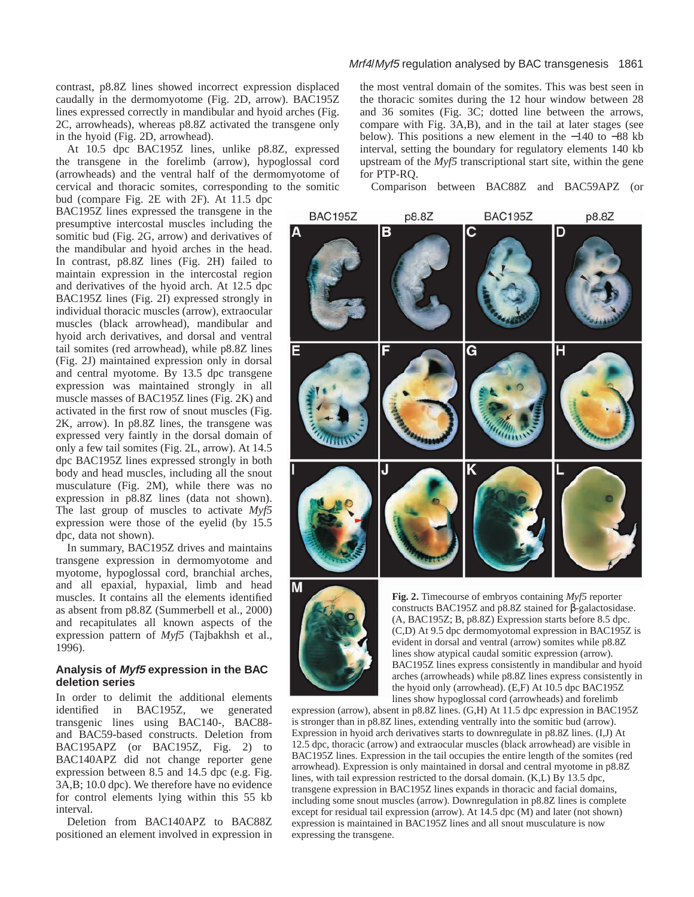contrast, p8.8Z lines showed incorrect expression displaced caudally in the dermomyotome (Fig. 2D, arrow). BAC195Z lines expressed correctly in mandibular and hyoid arches (Fig. 2C, arrowheads), whereas p8.8Z activated the transgene only in the hyoid (Fig. 2D, arrowhead).

At 10.5 dpc BAC195Z lines, unlike p8.8Z, expressed the transgene in the forelimb (arrow), hypoglossal cord (arrowheads) and the ventral half of the dermomyotome of cervical and thoracic somites, corresponding to the somitic

bud (compare Fig. 2E with 2F). At 11.5 dpc BAC195Z lines expressed the transgene in the presumptive intercostal muscles including the somitic bud (Fig. 2G, arrow) and derivatives of the mandibular and hyoid arches in the head. In contrast, p8.8Z lines (Fig. 2H) failed to maintain expression in the intercostal region and derivatives of the hyoid arch. At 12.5 dpc BAC195Z lines (Fig. 2I) expressed strongly in individual thoracic muscles (arrow), extraocular muscles (black arrowhead), mandibular and hyoid arch derivatives, and dorsal and ventral tail somites (red arrowhead), while p8.8Z lines (Fig. 2J) maintained expression only in dorsal and central myotome. By 13.5 dpc transgene expression was maintained strongly in all muscle masses of BAC195Z lines (Fig. 2K) and activated in the first row of snout muscles (Fig. 2K, arrow). In p8.8Z lines, the transgene was expressed very faintly in the dorsal domain of only a few tail somites (Fig. 2L, arrow). At 14.5 dpc BAC195Z lines expressed strongly in both body and head muscles, including all the snout musculature (Fig. 2M), while there was no expression in p8.8Z lines (data not shown). The last group of muscles to activate *Myf5* expression were those of the eyelid (by 15.5 dpc, data not shown).

In summary, BAC195Z drives and maintains transgene expression in dermomyotome and myotome, hypoglossal cord, branchial arches, and all epaxial, hypaxial, limb and head muscles. It contains all the elements identified as absent from p8.8Z (Summerbell et al., 2000) and recapitulates all known aspects of the expression pattern of *Myf5* (Tajbakhsh et al., 1996).

#### **Analysis of Myf5 expression in the BAC deletion series**

In order to delimit the additional elements identified in BAC195Z, we generated transgenic lines using BAC140-, BAC88 and BAC59-based constructs. Deletion from BAC195APZ (or BAC195Z, Fig. 2) to BAC140APZ did not change reporter gene expression between 8.5 and 14.5 dpc (e.g. Fig. 3A,B; 10.0 dpc). We therefore have no evidence for control elements lying within this 55 kb interval.

Deletion from BAC140APZ to BAC88Z positioned an element involved in expression in

# Mrf4/Myf5 regulation analysed by BAC transgenesis 1861

the most ventral domain of the somites. This was best seen in the thoracic somites during the 12 hour window between 28 and 36 somites (Fig. 3C; dotted line between the arrows, compare with Fig. 3A,B), and in the tail at later stages (see below). This positions a new element in the −140 to −88 kb interval, setting the boundary for regulatory elements 140 kb upstream of the *Myf5* transcriptional start site, within the gene for PTP-RQ.

Comparison between BAC88Z and BAC59APZ (or





**Fig. 2.** Timecourse of embryos containing *Myf5* reporter constructs BAC195Z and p8.8Z stained for β-galactosidase. (A, BAC195Z; B, p8.8Z) Expression starts before 8.5 dpc. (C,D) At 9.5 dpc dermomyotomal expression in BAC195Z is evident in dorsal and ventral (arrow) somites while p8.8Z lines show atypical caudal somitic expression (arrow). BAC195Z lines express consistently in mandibular and hyoid arches (arrowheads) while p8.8Z lines express consistently in the hyoid only (arrowhead). (E,F) At 10.5 dpc BAC195Z lines show hypoglossal cord (arrowheads) and forelimb

expression (arrow), absent in p8.8Z lines. (G,H) At 11.5 dpc expression in BAC195Z is stronger than in p8.8Z lines, extending ventrally into the somitic bud (arrow). Expression in hyoid arch derivatives starts to downregulate in p8.8Z lines. (I,J) At 12.5 dpc, thoracic (arrow) and extraocular muscles (black arrowhead) are visible in BAC195Z lines. Expression in the tail occupies the entire length of the somites (red arrowhead). Expression is only maintained in dorsal and central myotome in p8.8Z lines, with tail expression restricted to the dorsal domain. (K,L) By 13.5 dpc, transgene expression in BAC195Z lines expands in thoracic and facial domains, including some snout muscles (arrow). Downregulation in p8.8Z lines is complete except for residual tail expression (arrow). At 14.5 dpc (M) and later (not shown) expression is maintained in BAC195Z lines and all snout musculature is now expressing the transgene.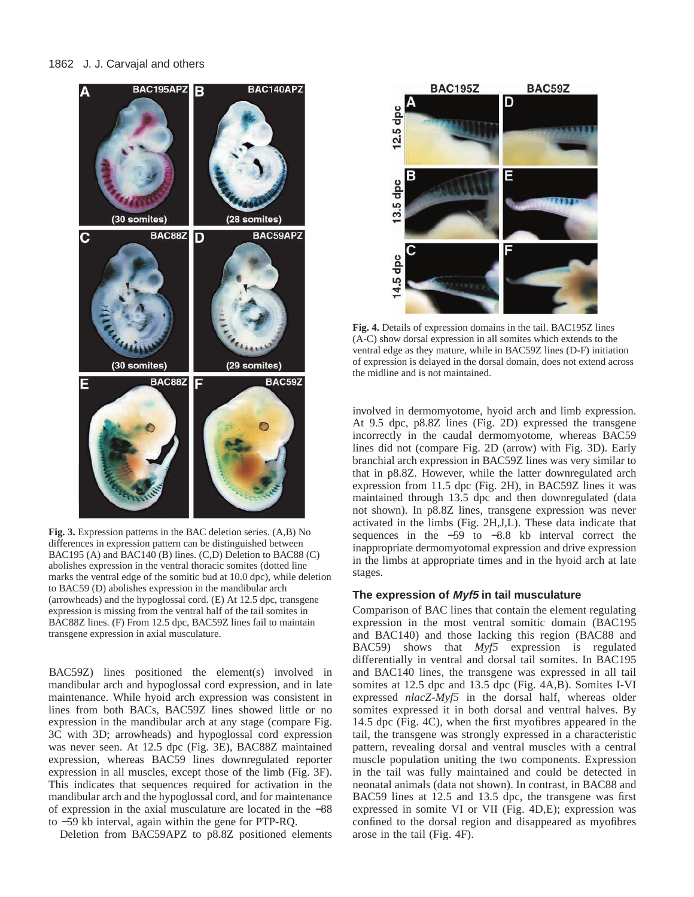

**Fig. 3.** Expression patterns in the BAC deletion series. (A,B) No differences in expression pattern can be distinguished between BAC195 (A) and BAC140 (B) lines. (C,D) Deletion to BAC88 (C) abolishes expression in the ventral thoracic somites (dotted line marks the ventral edge of the somitic bud at 10.0 dpc), while deletion to BAC59 (D) abolishes expression in the mandibular arch (arrowheads) and the hypoglossal cord. (E) At 12.5 dpc, transgene expression is missing from the ventral half of the tail somites in BAC88Z lines. (F) From 12.5 dpc, BAC59Z lines fail to maintain transgene expression in axial musculature.

BAC59Z) lines positioned the element(s) involved in mandibular arch and hypoglossal cord expression, and in late maintenance. While hyoid arch expression was consistent in lines from both BACs, BAC59Z lines showed little or no expression in the mandibular arch at any stage (compare Fig. 3C with 3D; arrowheads) and hypoglossal cord expression was never seen. At 12.5 dpc (Fig. 3E), BAC88Z maintained expression, whereas BAC59 lines downregulated reporter expression in all muscles, except those of the limb (Fig. 3F). This indicates that sequences required for activation in the mandibular arch and the hypoglossal cord, and for maintenance of expression in the axial musculature are located in the −88 to −59 kb interval, again within the gene for PTP-RQ.

Deletion from BAC59APZ to p8.8Z positioned elements



**Fig. 4.** Details of expression domains in the tail. BAC195Z lines (A-C) show dorsal expression in all somites which extends to the ventral edge as they mature, while in BAC59Z lines (D-F) initiation of expression is delayed in the dorsal domain, does not extend across the midline and is not maintained.

involved in dermomyotome, hyoid arch and limb expression. At 9.5 dpc, p8.8Z lines (Fig. 2D) expressed the transgene incorrectly in the caudal dermomyotome, whereas BAC59 lines did not (compare Fig. 2D (arrow) with Fig. 3D). Early branchial arch expression in BAC59Z lines was very similar to that in p8.8Z. However, while the latter downregulated arch expression from 11.5 dpc (Fig. 2H), in BAC59Z lines it was maintained through 13.5 dpc and then downregulated (data not shown). In p8.8Z lines, transgene expression was never activated in the limbs (Fig. 2H,J,L). These data indicate that sequences in the −59 to −8.8 kb interval correct the inappropriate dermomyotomal expression and drive expression in the limbs at appropriate times and in the hyoid arch at late stages.

# **The expression of Myf5 in tail musculature**

Comparison of BAC lines that contain the element regulating expression in the most ventral somitic domain (BAC195 and BAC140) and those lacking this region (BAC88 and BAC59) shows that *Myf5* expression is regulated differentially in ventral and dorsal tail somites. In BAC195 and BAC140 lines, the transgene was expressed in all tail somites at 12.5 dpc and 13.5 dpc (Fig. 4A,B). Somites I-VI expressed *nlacZ-Myf5* in the dorsal half, whereas older somites expressed it in both dorsal and ventral halves. By 14.5 dpc (Fig. 4C), when the first myofibres appeared in the tail, the transgene was strongly expressed in a characteristic pattern, revealing dorsal and ventral muscles with a central muscle population uniting the two components. Expression in the tail was fully maintained and could be detected in neonatal animals (data not shown). In contrast, in BAC88 and BAC59 lines at 12.5 and 13.5 dpc, the transgene was first expressed in somite VI or VII (Fig. 4D,E); expression was confined to the dorsal region and disappeared as myofibres arose in the tail (Fig. 4F).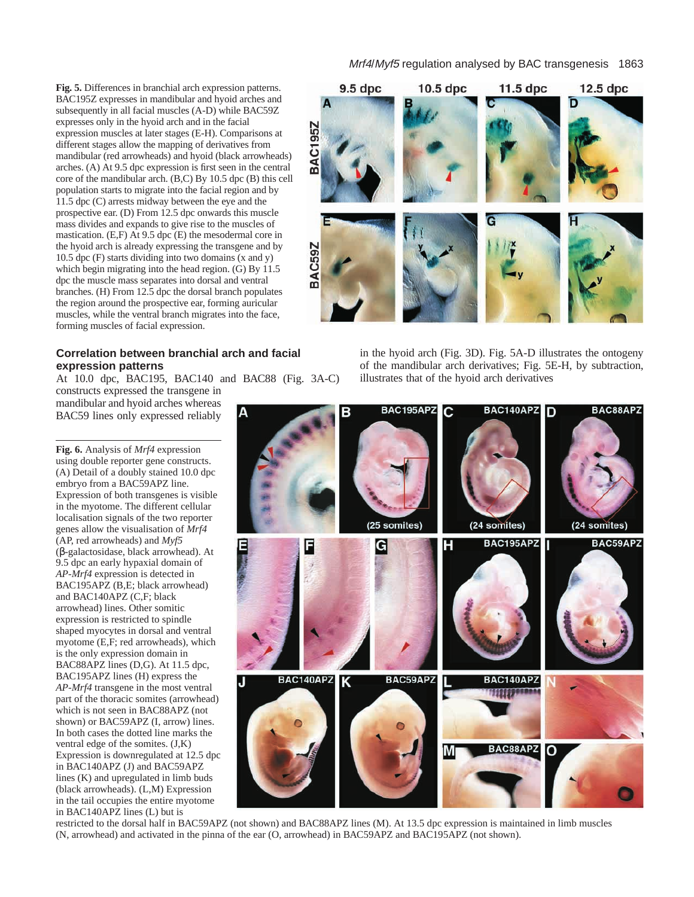**Fig. 5.** Differences in branchial arch expression patterns. BAC195Z expresses in mandibular and hyoid arches and subsequently in all facial muscles (A-D) while BAC59Z expresses only in the hyoid arch and in the facial expression muscles at later stages (E-H). Comparisons at different stages allow the mapping of derivatives from mandibular (red arrowheads) and hyoid (black arrowheads) arches. (A) At 9.5 dpc expression is first seen in the central core of the mandibular arch. (B,C) By 10.5 dpc (B) this cell population starts to migrate into the facial region and by 11.5 dpc (C) arrests midway between the eye and the prospective ear. (D) From 12.5 dpc onwards this muscle mass divides and expands to give rise to the muscles of mastication. (E,F) At 9.5 dpc (E) the mesodermal core in the hyoid arch is already expressing the transgene and by 10.5 dpc (F) starts dividing into two domains (x and y) which begin migrating into the head region. (G) By 11.5 dpc the muscle mass separates into dorsal and ventral branches. (H) From 12.5 dpc the dorsal branch populates the region around the prospective ear, forming auricular muscles, while the ventral branch migrates into the face, forming muscles of facial expression.

# **Correlation between branchial arch and facial expression patterns**

At 10.0 dpc, BAC195, BAC140 and BAC88 (Fig. 3A-C) constructs expressed the transgene in mandibular and hyoid arches whereas

**Fig. 6.** Analysis of *Mrf4* expression using double reporter gene constructs. (A) Detail of a doubly stained 10.0 dpc embryo from a BAC59APZ line. Expression of both transgenes is visible in the myotome. The different cellular localisation signals of the two reporter genes allow the visualisation of *Mrf4* (AP, red arrowheads) and *Myf5* (β-galactosidase, black arrowhead). At 9.5 dpc an early hypaxial domain of *AP-Mrf4* expression is detected in BAC195APZ (B,E; black arrowhead) and BAC140APZ (C,F; black arrowhead) lines. Other somitic expression is restricted to spindle shaped myocytes in dorsal and ventral myotome (E,F; red arrowheads), which is the only expression domain in BAC88APZ lines (D,G). At 11.5 dpc, BAC195APZ lines (H) express the *AP-Mrf4* transgene in the most ventral part of the thoracic somites (arrowhead) which is not seen in BAC88APZ (not shown) or BAC59APZ (I, arrow) lines. In both cases the dotted line marks the ventral edge of the somites. (J,K) Expression is downregulated at 12.5 dpc in BAC140APZ (J) and BAC59APZ lines (K) and upregulated in limb buds (black arrowheads). (L,M) Expression in the tail occupies the entire myotome in BAC140APZ lines (L) but is

BAC59 lines only expressed reliably



in the hyoid arch (Fig. 3D). Fig. 5A-D illustrates the ontogeny of the mandibular arch derivatives; Fig. 5E-H, by subtraction, illustrates that of the hyoid arch derivatives



restricted to the dorsal half in BAC59APZ (not shown) and BAC88APZ lines (M). At 13.5 dpc expression is maintained in limb muscles (N, arrowhead) and activated in the pinna of the ear (O, arrowhead) in BAC59APZ and BAC195APZ (not shown).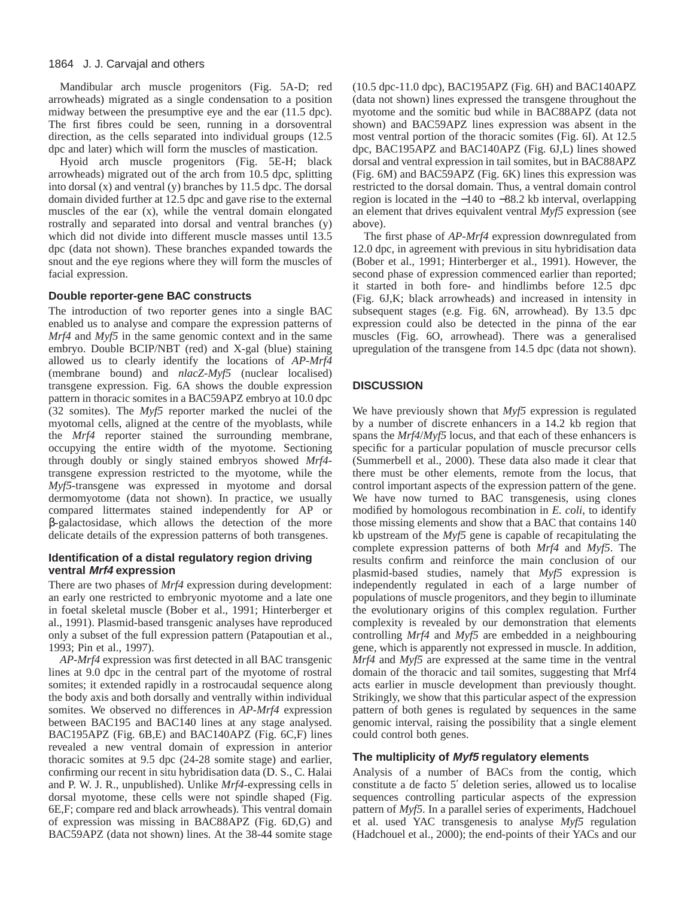#### 1864 J. J. Carvajal and others

Mandibular arch muscle progenitors (Fig. 5A-D; red arrowheads) migrated as a single condensation to a position midway between the presumptive eye and the ear (11.5 dpc). The first fibres could be seen, running in a dorsoventral direction, as the cells separated into individual groups (12.5 dpc and later) which will form the muscles of mastication.

Hyoid arch muscle progenitors (Fig. 5E-H; black arrowheads) migrated out of the arch from 10.5 dpc, splitting into dorsal (x) and ventral (y) branches by 11.5 dpc. The dorsal domain divided further at 12.5 dpc and gave rise to the external muscles of the ear (x), while the ventral domain elongated rostrally and separated into dorsal and ventral branches (y) which did not divide into different muscle masses until 13.5 dpc (data not shown). These branches expanded towards the snout and the eye regions where they will form the muscles of facial expression.

# **Double reporter-gene BAC constructs**

The introduction of two reporter genes into a single BAC enabled us to analyse and compare the expression patterns of *Mrf4* and *Myf5* in the same genomic context and in the same embryo. Double BCIP/NBT (red) and X-gal (blue) staining allowed us to clearly identify the locations of *AP-Mrf4* (membrane bound) and *nlacZ-Myf5* (nuclear localised) transgene expression. Fig. 6A shows the double expression pattern in thoracic somites in a BAC59APZ embryo at 10.0 dpc (32 somites). The *Myf5* reporter marked the nuclei of the myotomal cells, aligned at the centre of the myoblasts, while the *Mrf4* reporter stained the surrounding membrane, occupying the entire width of the myotome. Sectioning through doubly or singly stained embryos showed *Mrf4* transgene expression restricted to the myotome, while the *Myf5*-transgene was expressed in myotome and dorsal dermomyotome (data not shown). In practice, we usually compared littermates stained independently for AP or β-galactosidase, which allows the detection of the more delicate details of the expression patterns of both transgenes.

# **Identification of a distal regulatory region driving ventral Mrf4 expression**

There are two phases of *Mrf4* expression during development: an early one restricted to embryonic myotome and a late one in foetal skeletal muscle (Bober et al., 1991; Hinterberger et al., 1991). Plasmid-based transgenic analyses have reproduced only a subset of the full expression pattern (Patapoutian et al., 1993; Pin et al., 1997).

*AP-Mrf4* expression was first detected in all BAC transgenic lines at 9.0 dpc in the central part of the myotome of rostral somites; it extended rapidly in a rostrocaudal sequence along the body axis and both dorsally and ventrally within individual somites. We observed no differences in *AP*-*Mrf4* expression between BAC195 and BAC140 lines at any stage analysed. BAC195APZ (Fig. 6B,E) and BAC140APZ (Fig. 6C,F) lines revealed a new ventral domain of expression in anterior thoracic somites at 9.5 dpc (24-28 somite stage) and earlier, confirming our recent in situ hybridisation data (D. S., C. Halai and P. W. J. R., unpublished). Unlike *Mrf4*-expressing cells in dorsal myotome, these cells were not spindle shaped (Fig. 6E,F; compare red and black arrowheads). This ventral domain of expression was missing in BAC88APZ (Fig. 6D,G) and BAC59APZ (data not shown) lines. At the 38-44 somite stage

(10.5 dpc-11.0 dpc), BAC195APZ (Fig. 6H) and BAC140APZ (data not shown) lines expressed the transgene throughout the myotome and the somitic bud while in BAC88APZ (data not shown) and BAC59APZ lines expression was absent in the most ventral portion of the thoracic somites (Fig. 6I). At 12.5 dpc, BAC195APZ and BAC140APZ (Fig. 6J,L) lines showed dorsal and ventral expression in tail somites, but in BAC88APZ (Fig. 6M) and BAC59APZ (Fig. 6K) lines this expression was restricted to the dorsal domain. Thus, a ventral domain control region is located in the −140 to −88.2 kb interval, overlapping an element that drives equivalent ventral *Myf5* expression (see above).

The first phase of *AP-Mrf4* expression downregulated from 12.0 dpc, in agreement with previous in situ hybridisation data (Bober et al., 1991; Hinterberger et al., 1991). However, the second phase of expression commenced earlier than reported; it started in both fore- and hindlimbs before 12.5 dpc (Fig. 6J,K; black arrowheads) and increased in intensity in subsequent stages (e.g. Fig. 6N, arrowhead). By 13.5 dpc expression could also be detected in the pinna of the ear muscles (Fig. 6O, arrowhead). There was a generalised upregulation of the transgene from 14.5 dpc (data not shown).

# **DISCUSSION**

We have previously shown that *Myf5* expression is regulated by a number of discrete enhancers in a 14.2 kb region that spans the *Mrf4*/*Myf5* locus, and that each of these enhancers is specific for a particular population of muscle precursor cells (Summerbell et al., 2000). These data also made it clear that there must be other elements, remote from the locus, that control important aspects of the expression pattern of the gene. We have now turned to BAC transgenesis, using clones modified by homologous recombination in *E. coli*, to identify those missing elements and show that a BAC that contains 140 kb upstream of the *Myf5* gene is capable of recapitulating the complete expression patterns of both *Mrf4* and *Myf5*. The results confirm and reinforce the main conclusion of our plasmid-based studies, namely that *Myf5* expression is independently regulated in each of a large number of populations of muscle progenitors, and they begin to illuminate the evolutionary origins of this complex regulation. Further complexity is revealed by our demonstration that elements controlling *Mrf4* and *Myf5* are embedded in a neighbouring gene, which is apparently not expressed in muscle. In addition, *Mrf4* and *Myf5* are expressed at the same time in the ventral domain of the thoracic and tail somites, suggesting that Mrf4 acts earlier in muscle development than previously thought. Strikingly, we show that this particular aspect of the expression pattern of both genes is regulated by sequences in the same genomic interval, raising the possibility that a single element could control both genes.

#### **The multiplicity of Myf5 regulatory elements**

Analysis of a number of BACs from the contig, which constitute a de facto 5′ deletion series, allowed us to localise sequences controlling particular aspects of the expression pattern of *Myf5*. In a parallel series of experiments, Hadchouel et al. used YAC transgenesis to analyse *Myf5* regulation (Hadchouel et al., 2000); the end-points of their YACs and our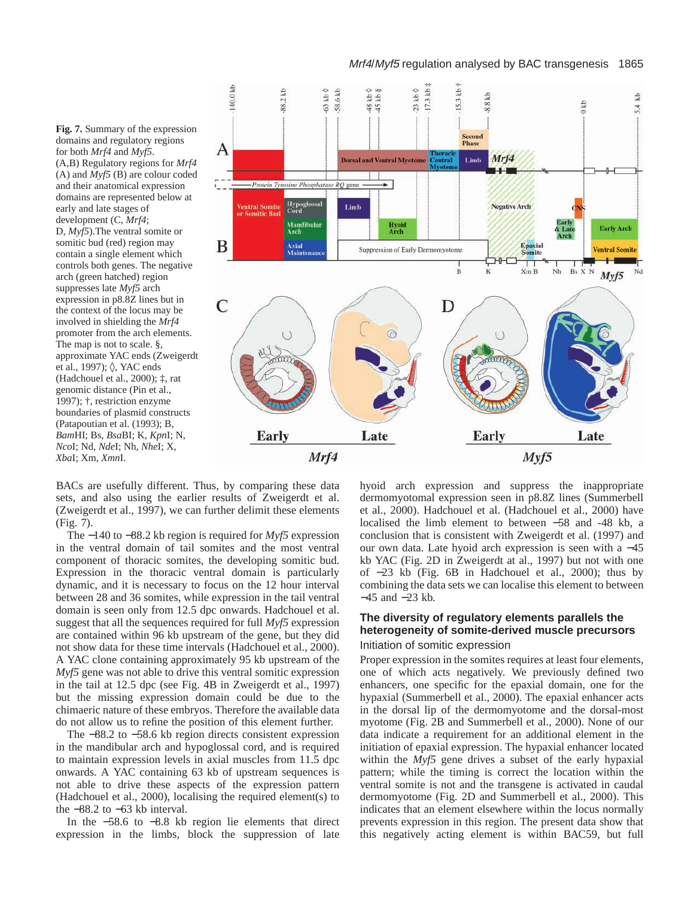#### Mrf4/Myf5 regulation analysed by BAC transgenesis 1865

**Fig. 7.** Summary of the expression domains and regulatory regions for both *Mrf4* and *Myf5*. (A,B) Regulatory regions for *Mrf4* (A) and *Myf5* (B) are colour coded and their anatomical expression domains are represented below at early and late stages of development (C, *Mrf4*; D, *Myf5*).The ventral somite or somitic bud (red) region may contain a single element which controls both genes. The negative arch (green hatched) region suppresses late *Myf5* arch expression in p8.8Z lines but in the context of the locus may be involved in shielding the *Mrf4* promoter from the arch elements. The map is not to scale. §, approximate YAC ends (Zweigerdt et al., 1997); ◊, YAC ends (Hadchouel et al., 2000); ‡, rat genomic distance (Pin et al., 1997); †, restriction enzyme boundaries of plasmid constructs (Patapoutian et al. (1993); B, *Bam*HI; Bs, *Bsa*BI; K, *Kpn*I; N, *Nco*I; Nd, *Nde*I; Nh, *Nhe*I; X, *Xba*I; Xm, *Xmn*I.



BACs are usefully different. Thus, by comparing these data sets, and also using the earlier results of Zweigerdt et al. (Zweigerdt et al., 1997), we can further delimit these elements (Fig. 7).

The −140 to −88.2 kb region is required for *Myf5* expression in the ventral domain of tail somites and the most ventral component of thoracic somites, the developing somitic bud. Expression in the thoracic ventral domain is particularly dynamic, and it is necessary to focus on the 12 hour interval between 28 and 36 somites, while expression in the tail ventral domain is seen only from 12.5 dpc onwards. Hadchouel et al. suggest that all the sequences required for full *Myf5* expression are contained within 96 kb upstream of the gene, but they did not show data for these time intervals (Hadchouel et al., 2000). A YAC clone containing approximately 95 kb upstream of the *Myf5* gene was not able to drive this ventral somitic expression in the tail at 12.5 dpc (see Fig. 4B in Zweigerdt et al., 1997) but the missing expression domain could be due to the chimaeric nature of these embryos. Therefore the available data do not allow us to refine the position of this element further.

The −88.2 to −58.6 kb region directs consistent expression in the mandibular arch and hypoglossal cord, and is required to maintain expression levels in axial muscles from 11.5 dpc onwards. A YAC containing 63 kb of upstream sequences is not able to drive these aspects of the expression pattern (Hadchouel et al., 2000), localising the required element(s) to the −88.2 to −63 kb interval.

In the −58.6 to −8.8 kb region lie elements that direct expression in the limbs, block the suppression of late

hyoid arch expression and suppress the inappropriate dermomyotomal expression seen in p8.8Z lines (Summerbell et al., 2000). Hadchouel et al. (Hadchouel et al., 2000) have localised the limb element to between −58 and -48 kb, a conclusion that is consistent with Zweigerdt et al. (1997) and our own data. Late hyoid arch expression is seen with a −45 kb YAC (Fig. 2D in Zweigerdt at al., 1997) but not with one of −23 kb (Fig. 6B in Hadchouel et al., 2000); thus by combining the data sets we can localise this element to between −45 and −23 kb.

# **The diversity of regulatory elements parallels the heterogeneity of somite-derived muscle precursors** Initiation of somitic expression

Proper expression in the somites requires at least four elements, one of which acts negatively. We previously defined two enhancers, one specific for the epaxial domain, one for the hypaxial (Summerbell et al., 2000). The epaxial enhancer acts in the dorsal lip of the dermomyotome and the dorsal-most myotome (Fig. 2B and Summerbell et al., 2000). None of our data indicate a requirement for an additional element in the initiation of epaxial expression. The hypaxial enhancer located within the *Myf5* gene drives a subset of the early hypaxial pattern; while the timing is correct the location within the ventral somite is not and the transgene is activated in caudal dermomyotome (Fig. 2D and Summerbell et al., 2000). This indicates that an element elsewhere within the locus normally prevents expression in this region. The present data show that this negatively acting element is within BAC59, but full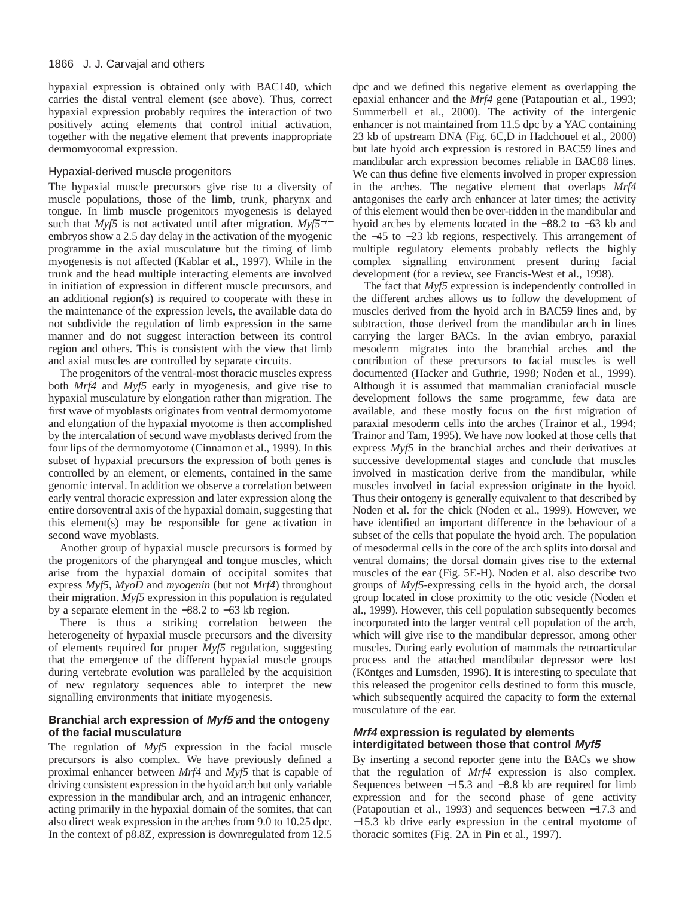hypaxial expression is obtained only with BAC140, which carries the distal ventral element (see above). Thus, correct hypaxial expression probably requires the interaction of two positively acting elements that control initial activation, together with the negative element that prevents inappropriate dermomyotomal expression.

#### Hypaxial-derived muscle progenitors

The hypaxial muscle precursors give rise to a diversity of muscle populations, those of the limb, trunk, pharynx and tongue. In limb muscle progenitors myogenesis is delayed such that *Myf5* is not activated until after migration. *Myf5*−/<sup>−</sup> embryos show a 2.5 day delay in the activation of the myogenic programme in the axial musculature but the timing of limb myogenesis is not affected (Kablar et al., 1997). While in the trunk and the head multiple interacting elements are involved in initiation of expression in different muscle precursors, and an additional region(s) is required to cooperate with these in the maintenance of the expression levels, the available data do not subdivide the regulation of limb expression in the same manner and do not suggest interaction between its control region and others. This is consistent with the view that limb and axial muscles are controlled by separate circuits.

The progenitors of the ventral-most thoracic muscles express both *Mrf4* and *Myf5* early in myogenesis, and give rise to hypaxial musculature by elongation rather than migration. The first wave of myoblasts originates from ventral dermomyotome and elongation of the hypaxial myotome is then accomplished by the intercalation of second wave myoblasts derived from the four lips of the dermomyotome (Cinnamon et al., 1999). In this subset of hypaxial precursors the expression of both genes is controlled by an element, or elements, contained in the same genomic interval. In addition we observe a correlation between early ventral thoracic expression and later expression along the entire dorsoventral axis of the hypaxial domain, suggesting that this element(s) may be responsible for gene activation in second wave myoblasts.

Another group of hypaxial muscle precursors is formed by the progenitors of the pharyngeal and tongue muscles, which arise from the hypaxial domain of occipital somites that express *Myf5*, *MyoD* and *myogenin* (but not *Mrf4*) throughout their migration. *Myf5* expression in this population is regulated by a separate element in the −88.2 to −63 kb region.

There is thus a striking correlation between the heterogeneity of hypaxial muscle precursors and the diversity of elements required for proper *Myf5* regulation, suggesting that the emergence of the different hypaxial muscle groups during vertebrate evolution was paralleled by the acquisition of new regulatory sequences able to interpret the new signalling environments that initiate myogenesis.

# **Branchial arch expression of Myf5 and the ontogeny of the facial musculature**

The regulation of *Myf5* expression in the facial muscle precursors is also complex. We have previously defined a proximal enhancer between *Mrf4* and *Myf5* that is capable of driving consistent expression in the hyoid arch but only variable expression in the mandibular arch, and an intragenic enhancer, acting primarily in the hypaxial domain of the somites, that can also direct weak expression in the arches from 9.0 to 10.25 dpc. In the context of p8.8Z, expression is downregulated from 12.5

dpc and we defined this negative element as overlapping the epaxial enhancer and the *Mrf4* gene (Patapoutian et al., 1993; Summerbell et al., 2000). The activity of the intergenic enhancer is not maintained from 11.5 dpc by a YAC containing 23 kb of upstream DNA (Fig. 6C,D in Hadchouel et al., 2000) but late hyoid arch expression is restored in BAC59 lines and mandibular arch expression becomes reliable in BAC88 lines. We can thus define five elements involved in proper expression in the arches. The negative element that overlaps *Mrf4* antagonises the early arch enhancer at later times; the activity of this element would then be over-ridden in the mandibular and hyoid arches by elements located in the −88.2 to −63 kb and the −45 to −23 kb regions, respectively. This arrangement of multiple regulatory elements probably reflects the highly complex signalling environment present during facial development (for a review, see Francis-West et al., 1998).

The fact that *Myf5* expression is independently controlled in the different arches allows us to follow the development of muscles derived from the hyoid arch in BAC59 lines and, by subtraction, those derived from the mandibular arch in lines carrying the larger BACs. In the avian embryo, paraxial mesoderm migrates into the branchial arches and the contribution of these precursors to facial muscles is well documented (Hacker and Guthrie, 1998; Noden et al., 1999). Although it is assumed that mammalian craniofacial muscle development follows the same programme, few data are available, and these mostly focus on the first migration of paraxial mesoderm cells into the arches (Trainor et al., 1994; Trainor and Tam, 1995). We have now looked at those cells that express *Myf5* in the branchial arches and their derivatives at successive developmental stages and conclude that muscles involved in mastication derive from the mandibular, while muscles involved in facial expression originate in the hyoid. Thus their ontogeny is generally equivalent to that described by Noden et al. for the chick (Noden et al., 1999). However, we have identified an important difference in the behaviour of a subset of the cells that populate the hyoid arch. The population of mesodermal cells in the core of the arch splits into dorsal and ventral domains; the dorsal domain gives rise to the external muscles of the ear (Fig. 5E-H). Noden et al. also describe two groups of *Myf5*-expressing cells in the hyoid arch, the dorsal group located in close proximity to the otic vesicle (Noden et al., 1999). However, this cell population subsequently becomes incorporated into the larger ventral cell population of the arch, which will give rise to the mandibular depressor, among other muscles. During early evolution of mammals the retroarticular process and the attached mandibular depressor were lost (Köntges and Lumsden, 1996). It is interesting to speculate that this released the progenitor cells destined to form this muscle, which subsequently acquired the capacity to form the external musculature of the ear.

# **Mrf4 expression is regulated by elements interdigitated between those that control Myf5**

By inserting a second reporter gene into the BACs we show that the regulation of *Mrf4* expression is also complex. Sequences between −15.3 and −8.8 kb are required for limb expression and for the second phase of gene activity (Patapoutian et al., 1993) and sequences between −17.3 and −15.3 kb drive early expression in the central myotome of thoracic somites (Fig. 2A in Pin et al., 1997).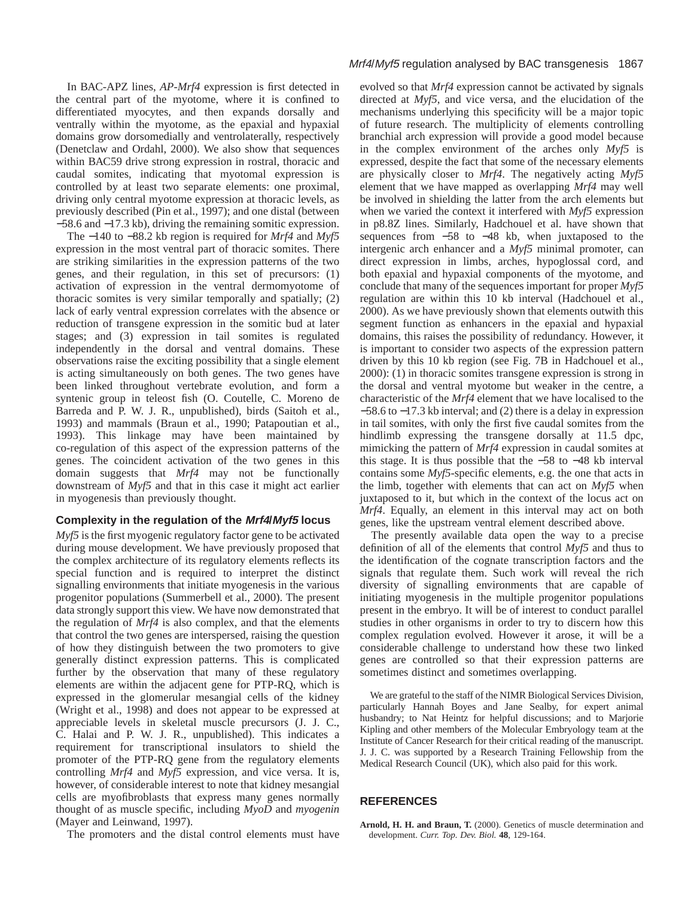In BAC-APZ lines, *AP-Mrf4* expression is first detected in the central part of the myotome, where it is confined to differentiated myocytes, and then expands dorsally and ventrally within the myotome, as the epaxial and hypaxial domains grow dorsomedially and ventrolaterally, respectively (Denetclaw and Ordahl, 2000). We also show that sequences within BAC59 drive strong expression in rostral, thoracic and caudal somites, indicating that myotomal expression is controlled by at least two separate elements: one proximal, driving only central myotome expression at thoracic levels, as previously described (Pin et al., 1997); and one distal (between −58.6 and −17.3 kb), driving the remaining somitic expression.

The −140 to −88.2 kb region is required for *Mrf4* and *Myf5* expression in the most ventral part of thoracic somites. There are striking similarities in the expression patterns of the two genes, and their regulation, in this set of precursors: (1) activation of expression in the ventral dermomyotome of thoracic somites is very similar temporally and spatially; (2) lack of early ventral expression correlates with the absence or reduction of transgene expression in the somitic bud at later stages; and (3) expression in tail somites is regulated independently in the dorsal and ventral domains. These observations raise the exciting possibility that a single element is acting simultaneously on both genes. The two genes have been linked throughout vertebrate evolution, and form a syntenic group in teleost fish (O. Coutelle, C. Moreno de Barreda and P. W. J. R., unpublished), birds (Saitoh et al., 1993) and mammals (Braun et al., 1990; Patapoutian et al., 1993). This linkage may have been maintained by co-regulation of this aspect of the expression patterns of the genes. The coincident activation of the two genes in this domain suggests that *Mrf4* may not be functionally downstream of *Myf5* and that in this case it might act earlier in myogenesis than previously thought.

# **Complexity in the regulation of the Mrf4/Myf5 locus**

*Myf5* is the first myogenic regulatory factor gene to be activated during mouse development. We have previously proposed that the complex architecture of its regulatory elements reflects its special function and is required to interpret the distinct signalling environments that initiate myogenesis in the various progenitor populations (Summerbell et al., 2000). The present data strongly support this view. We have now demonstrated that the regulation of *Mrf4* is also complex, and that the elements that control the two genes are interspersed, raising the question of how they distinguish between the two promoters to give generally distinct expression patterns. This is complicated further by the observation that many of these regulatory elements are within the adjacent gene for PTP-RQ, which is expressed in the glomerular mesangial cells of the kidney (Wright et al., 1998) and does not appear to be expressed at appreciable levels in skeletal muscle precursors (J. J. C., C. Halai and P. W. J. R., unpublished). This indicates a requirement for transcriptional insulators to shield the promoter of the PTP-RQ gene from the regulatory elements controlling *Mrf4* and *Myf5* expression, and vice versa. It is, however, of considerable interest to note that kidney mesangial cells are myofibroblasts that express many genes normally thought of as muscle specific, including *MyoD* and *myogenin* (Mayer and Leinwand, 1997).

The promoters and the distal control elements must have

evolved so that *Mrf4* expression cannot be activated by signals directed at *Myf5*, and vice versa, and the elucidation of the mechanisms underlying this specificity will be a major topic of future research. The multiplicity of elements controlling branchial arch expression will provide a good model because in the complex environment of the arches only *Myf5* is expressed, despite the fact that some of the necessary elements are physically closer to *Mrf4*. The negatively acting *Myf5* element that we have mapped as overlapping *Mrf4* may well be involved in shielding the latter from the arch elements but when we varied the context it interfered with *Myf5* expression in p8.8Z lines. Similarly, Hadchouel et al. have shown that sequences from −58 to −48 kb, when juxtaposed to the intergenic arch enhancer and a *Myf5* minimal promoter, can direct expression in limbs, arches, hypoglossal cord, and both epaxial and hypaxial components of the myotome, and conclude that many of the sequences important for proper *Myf5* regulation are within this 10 kb interval (Hadchouel et al., 2000). As we have previously shown that elements outwith this segment function as enhancers in the epaxial and hypaxial domains, this raises the possibility of redundancy. However, it is important to consider two aspects of the expression pattern driven by this 10 kb region (see Fig. 7B in Hadchouel et al., 2000): (1) in thoracic somites transgene expression is strong in the dorsal and ventral myotome but weaker in the centre, a characteristic of the *Mrf4* element that we have localised to the −58.6 to −17.3 kb interval; and (2) there is a delay in expression in tail somites, with only the first five caudal somites from the hindlimb expressing the transgene dorsally at 11.5 dpc, mimicking the pattern of *Mrf4* expression in caudal somites at this stage. It is thus possible that the −58 to −48 kb interval contains some *Myf5*-specific elements, e.g. the one that acts in the limb, together with elements that can act on *Myf5* when juxtaposed to it, but which in the context of the locus act on *Mrf4*. Equally, an element in this interval may act on both genes, like the upstream ventral element described above.

The presently available data open the way to a precise definition of all of the elements that control *Myf5* and thus to the identification of the cognate transcription factors and the signals that regulate them. Such work will reveal the rich diversity of signalling environments that are capable of initiating myogenesis in the multiple progenitor populations present in the embryo. It will be of interest to conduct parallel studies in other organisms in order to try to discern how this complex regulation evolved. However it arose, it will be a considerable challenge to understand how these two linked genes are controlled so that their expression patterns are sometimes distinct and sometimes overlapping.

We are grateful to the staff of the NIMR Biological Services Division, particularly Hannah Boyes and Jane Sealby, for expert animal husbandry; to Nat Heintz for helpful discussions; and to Marjorie Kipling and other members of the Molecular Embryology team at the Institute of Cancer Research for their critical reading of the manuscript. J. J. C. was supported by a Research Training Fellowship from the Medical Research Council (UK), which also paid for this work.

# **REFERENCES**

**Arnold, H. H. and Braun, T.** (2000). Genetics of muscle determination and development. *Curr. Top. Dev. Biol.* **48**, 129-164.